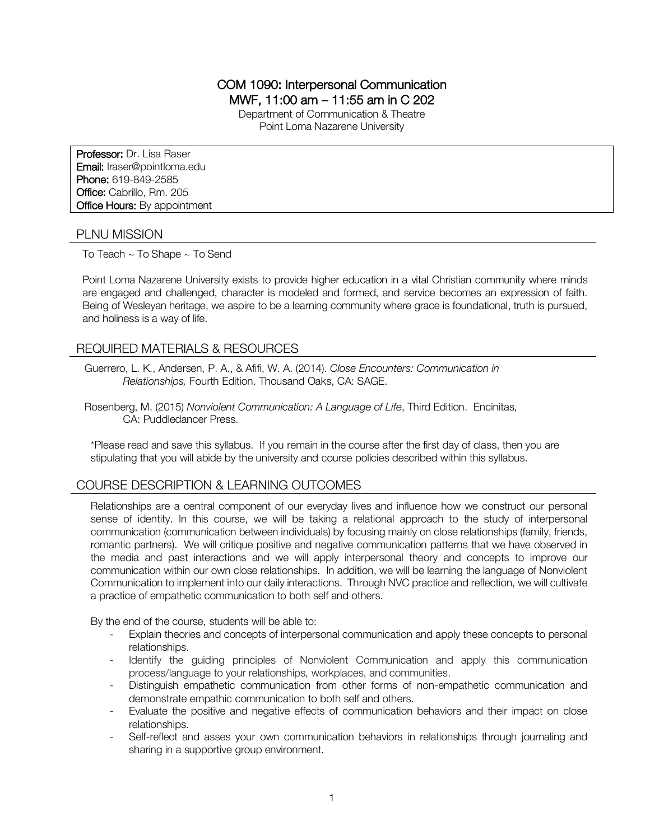## COM 1090: Interpersonal Communication MWF, 11:00 am – 11:55 am in C 202

Department of Communication & Theatre

Point Loma Nazarene University

Professor: Dr. Lisa Raser Email: lraser@pointloma.edu Phone: 619-849-2585 Office: Cabrillo, Rm. 205 **Office Hours: By appointment** 

#### PLNU MISSION

To Teach ~ To Shape ~ To Send

Point Loma Nazarene University exists to provide higher education in a vital Christian community where minds are engaged and challenged, character is modeled and formed, and service becomes an expression of faith. Being of Wesleyan heritage, we aspire to be a learning community where grace is foundational, truth is pursued, and holiness is a way of life.

### REQUIRED MATERIALS & RESOURCES

Guerrero, L. K., Andersen, P. A., & Afifi, W. A. (2014). *Close Encounters: Communication in Relationships,* Fourth Edition. Thousand Oaks, CA: SAGE.

Rosenberg, M. (2015) *Nonviolent Communication: A Language of Life*, Third Edition. Encinitas, CA: Puddledancer Press.

\*Please read and save this syllabus. If you remain in the course after the first day of class, then you are stipulating that you will abide by the university and course policies described within this syllabus.

## COURSE DESCRIPTION & LEARNING OUTCOMES

Relationships are a central component of our everyday lives and influence how we construct our personal sense of identity. In this course, we will be taking a relational approach to the study of interpersonal communication (communication between individuals) by focusing mainly on close relationships (family, friends, romantic partners). We will critique positive and negative communication patterns that we have observed in the media and past interactions and we will apply interpersonal theory and concepts to improve our communication within our own close relationships. In addition, we will be learning the language of Nonviolent Communication to implement into our daily interactions. Through NVC practice and reflection, we will cultivate a practice of empathetic communication to both self and others.

By the end of the course, students will be able to:

- Explain theories and concepts of interpersonal communication and apply these concepts to personal relationships.
- Identify the guiding principles of Nonviolent Communication and apply this communication process/language to your relationships, workplaces, and communities.
- Distinguish empathetic communication from other forms of non-empathetic communication and demonstrate empathic communication to both self and others.
- Evaluate the positive and negative effects of communication behaviors and their impact on close relationships.
- Self-reflect and asses your own communication behaviors in relationships through journaling and sharing in a supportive group environment.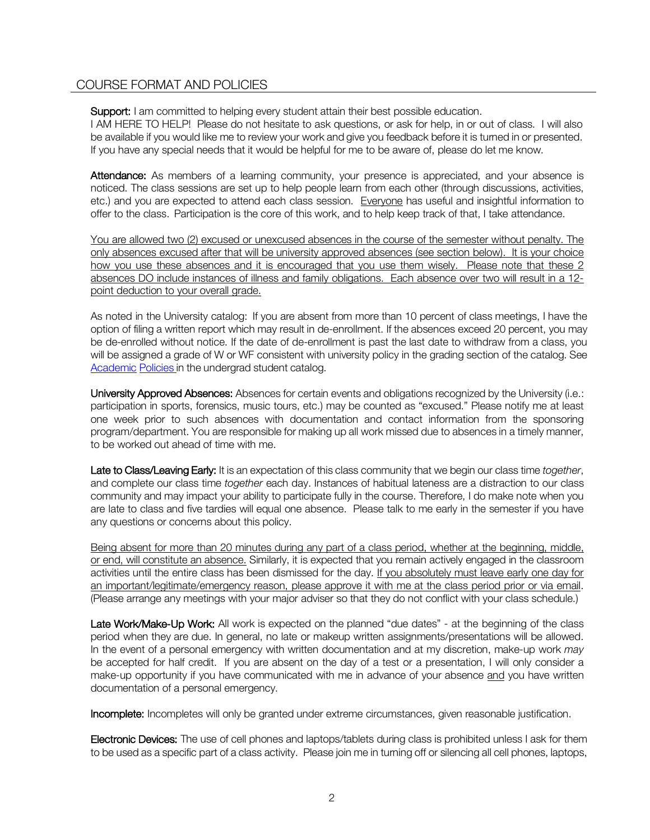## COURSE FORMAT AND POLICIES

Support: I am committed to helping every student attain their best possible education.

I AM HERE TO HELP! Please do not hesitate to ask questions, or ask for help, in or out of class. I will also be available if you would like me to review your work and give you feedback before it is turned in or presented. If you have any special needs that it would be helpful for me to be aware of, please do let me know.

Attendance: As members of a learning community, your presence is appreciated, and your absence is noticed. The class sessions are set up to help people learn from each other (through discussions, activities, etc.) and you are expected to attend each class session. Everyone has useful and insightful information to offer to the class. Participation is the core of this work, and to help keep track of that, I take attendance.

You are allowed two (2) excused or unexcused absences in the course of the semester without penalty. The only absences excused after that will be university approved absences (see section below). It is your choice how you use these absences and it is encouraged that you use them wisely. Please note that these 2 absences DO include instances of illness and family obligations. Each absence over two will result in a 12 point deduction to your overall grade.

As noted in the University catalog: If you are absent from more than 10 percent of class meetings, I have the option of filing a written report which may result in de-enrollment. If the absences exceed 20 percent, you may be de-enrolled without notice. If the date of de-enrollment is past the last date to withdraw from a class, you will be assigned a grade of W or WF consistent with university policy in the grading section of the catalog. See Academic Policies in the undergrad student catalog.

University Approved Absences: Absences for certain events and obligations recognized by the University (i.e.: participation in sports, forensics, music tours, etc.) may be counted as "excused." Please notify me at least one week prior to such absences with documentation and contact information from the sponsoring program/department. You are responsible for making up all work missed due to absences in a timely manner, to be worked out ahead of time with me.

Late to Class/Leaving Early: It is an expectation of this class community that we begin our class time *together*, and complete our class time *together* each day. Instances of habitual lateness are a distraction to our class community and may impact your ability to participate fully in the course. Therefore, I do make note when you are late to class and five tardies will equal one absence. Please talk to me early in the semester if you have any questions or concerns about this policy.

Being absent for more than 20 minutes during any part of a class period, whether at the beginning, middle, or end, will constitute an absence. Similarly, it is expected that you remain actively engaged in the classroom activities until the entire class has been dismissed for the day. If you absolutely must leave early one day for an important/legitimate/emergency reason, please approve it with me at the class period prior or via email. (Please arrange any meetings with your major adviser so that they do not conflict with your class schedule.)

Late Work/Make-Up Work: All work is expected on the planned "due dates" - at the beginning of the class period when they are due. In general, no late or makeup written assignments/presentations will be allowed. In the event of a personal emergency with written documentation and at my discretion, make-up work *may* be accepted for half credit. If you are absent on the day of a test or a presentation, I will only consider a make-up opportunity if you have communicated with me in advance of your absence and you have written documentation of a personal emergency.

Incomplete: Incompletes will only be granted under extreme circumstances, given reasonable justification.

Electronic Devices: The use of cell phones and laptops/tablets during class is prohibited unless I ask for them to be used as a specific part of a class activity. Please join me in turning off or silencing all cell phones, laptops,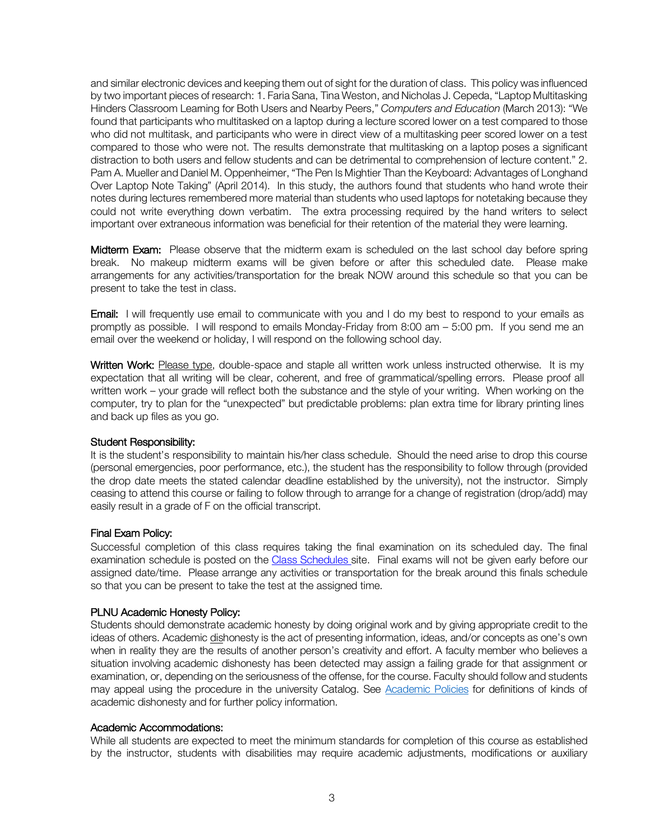and similar electronic devices and keeping them out of sight for the duration of class. This policy was influenced by two important pieces of research: 1. Faria Sana, Tina Weston, and Nicholas J. Cepeda, "Laptop Multitasking Hinders Classroom Learning for Both Users and Nearby Peers," *Computers and Education* (March 2013): "We found that participants who multitasked on a laptop during a lecture scored lower on a test compared to those who did not multitask, and participants who were in direct view of a multitasking peer scored lower on a test compared to those who were not. The results demonstrate that multitasking on a laptop poses a significant distraction to both users and fellow students and can be detrimental to comprehension of lecture content." 2. Pam A. Mueller and Daniel M. Oppenheimer, "The Pen Is Mightier Than the Keyboard: Advantages of Longhand Over Laptop Note Taking" (April 2014). In this study, the authors found that students who hand wrote their notes during lectures remembered more material than students who used laptops for notetaking because they could not write everything down verbatim. The extra processing required by the hand writers to select important over extraneous information was beneficial for their retention of the material they were learning.

Midterm Exam: Please observe that the midterm exam is scheduled on the last school day before spring break. No makeup midterm exams will be given before or after this scheduled date. Please make arrangements for any activities/transportation for the break NOW around this schedule so that you can be present to take the test in class.

**Email:** I will frequently use email to communicate with you and I do my best to respond to your emails as promptly as possible. I will respond to emails Monday-Friday from 8:00 am – 5:00 pm. If you send me an email over the weekend or holiday, I will respond on the following school day.

Written Work: Please type, double-space and staple all written work unless instructed otherwise. It is my expectation that all writing will be clear, coherent, and free of grammatical/spelling errors. Please proof all written work – your grade will reflect both the substance and the style of your writing. When working on the computer, try to plan for the "unexpected" but predictable problems: plan extra time for library printing lines and back up files as you go.

#### Student Responsibility:

It is the student's responsibility to maintain his/her class schedule. Should the need arise to drop this course (personal emergencies, poor performance, etc.), the student has the responsibility to follow through (provided the drop date meets the stated calendar deadline established by the university), not the instructor. Simply ceasing to attend this course or failing to follow through to arrange for a change of registration (drop/add) may easily result in a grade of F on the official transcript.

#### Final Exam Policy:

Successful completion of this class requires taking the final examination on its scheduled day. The final examination schedule is posted on the Class Schedules site. Final exams will not be given early before our assigned date/time. Please arrange any activities or transportation for the break around this finals schedule so that you can be present to take the test at the assigned time.

#### PLNU Academic Honesty Policy:

Students should demonstrate academic honesty by doing original work and by giving appropriate credit to the ideas of others. Academic dishonesty is the act of presenting information, ideas, and/or concepts as one's own when in reality they are the results of another person's creativity and effort. A faculty member who believes a situation involving academic dishonesty has been detected may assign a failing grade for that assignment or examination, or, depending on the seriousness of the offense, for the course. Faculty should follow and students may appeal using the procedure in the university Catalog. See Academic Policies for definitions of kinds of academic dishonesty and for further policy information.

#### Academic Accommodations:

While all students are expected to meet the minimum standards for completion of this course as established by the instructor, students with disabilities may require academic adjustments, modifications or auxiliary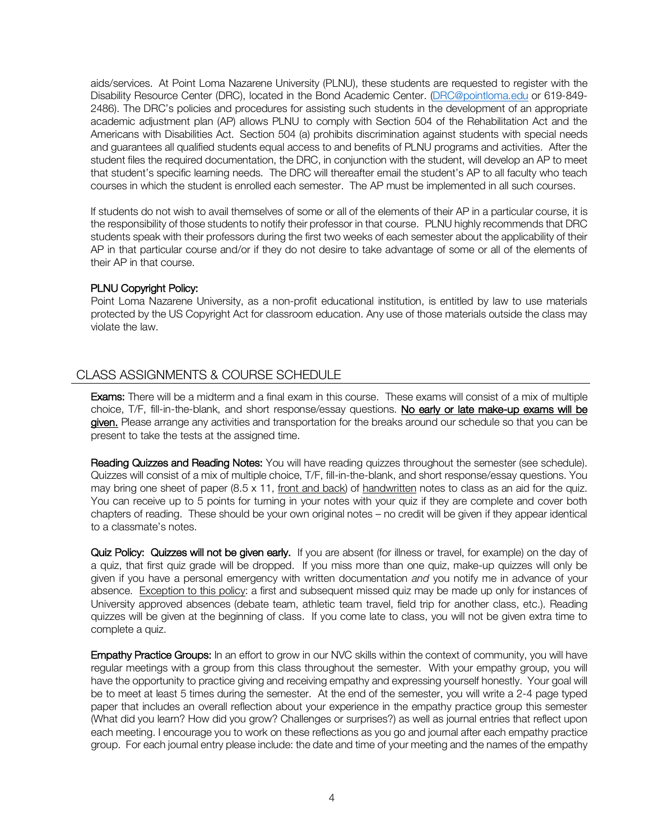aids/services. At Point Loma Nazarene University (PLNU), these students are requested to register with the Disability Resource Center (DRC), located in the Bond Academic Center. (DRC@pointloma.edu or 619-849- 2486). The DRC's policies and procedures for assisting such students in the development of an appropriate academic adjustment plan (AP) allows PLNU to comply with Section 504 of the Rehabilitation Act and the Americans with Disabilities Act. Section 504 (a) prohibits discrimination against students with special needs and guarantees all qualified students equal access to and benefits of PLNU programs and activities. After the student files the required documentation, the DRC, in conjunction with the student, will develop an AP to meet that student's specific learning needs. The DRC will thereafter email the student's AP to all faculty who teach courses in which the student is enrolled each semester. The AP must be implemented in all such courses.

If students do not wish to avail themselves of some or all of the elements of their AP in a particular course, it is the responsibility of those students to notify their professor in that course. PLNU highly recommends that DRC students speak with their professors during the first two weeks of each semester about the applicability of their AP in that particular course and/or if they do not desire to take advantage of some or all of the elements of their AP in that course.

#### PLNU Copyright Policy:

Point Loma Nazarene University, as a non-profit educational institution, is entitled by law to use materials protected by the US Copyright Act for classroom education. Any use of those materials outside the class may violate the law.

# CLASS ASSIGNMENTS & COURSE SCHEDULE

Exams: There will be a midterm and a final exam in this course. These exams will consist of a mix of multiple choice, T/F, fill-in-the-blank, and short response/essay questions. No early or late make-up exams will be given. Please arrange any activities and transportation for the breaks around our schedule so that you can be present to take the tests at the assigned time.

Reading Quizzes and Reading Notes: You will have reading quizzes throughout the semester (see schedule). Quizzes will consist of a mix of multiple choice, T/F, fill-in-the-blank, and short response/essay questions. You may bring one sheet of paper  $(8.5 \times 11, \text{front}$  and back) of handwritten notes to class as an aid for the quiz. You can receive up to 5 points for turning in your notes with your quiz if they are complete and cover both chapters of reading. These should be your own original notes – no credit will be given if they appear identical to a classmate's notes.

Quiz Policy: Quizzes will not be given early. If you are absent (for illness or travel, for example) on the day of a quiz, that first quiz grade will be dropped. If you miss more than one quiz, make-up quizzes will only be given if you have a personal emergency with written documentation *and* you notify me in advance of your absence. Exception to this policy: a first and subsequent missed quiz may be made up only for instances of University approved absences (debate team, athletic team travel, field trip for another class, etc.). Reading quizzes will be given at the beginning of class. If you come late to class, you will not be given extra time to complete a quiz.

Empathy Practice Groups: In an effort to grow in our NVC skills within the context of community, you will have regular meetings with a group from this class throughout the semester. With your empathy group, you will have the opportunity to practice giving and receiving empathy and expressing yourself honestly. Your goal will be to meet at least 5 times during the semester. At the end of the semester, you will write a 2-4 page typed paper that includes an overall reflection about your experience in the empathy practice group this semester (What did you learn? How did you grow? Challenges or surprises?) as well as journal entries that reflect upon each meeting. I encourage you to work on these reflections as you go and journal after each empathy practice group. For each journal entry please include: the date and time of your meeting and the names of the empathy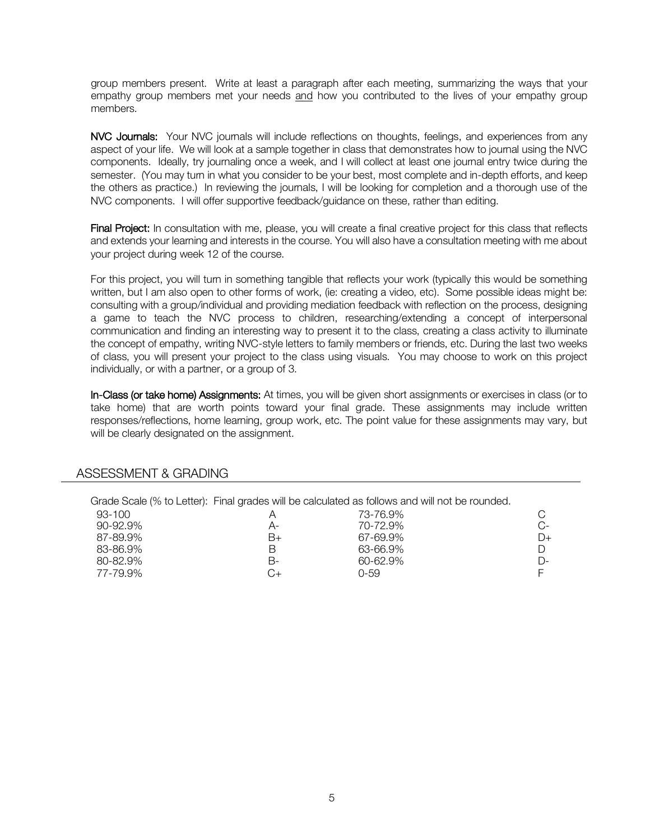group members present. Write at least a paragraph after each meeting, summarizing the ways that your empathy group members met your needs and how you contributed to the lives of your empathy group members.

NVC Journals: Your NVC journals will include reflections on thoughts, feelings, and experiences from any aspect of your life. We will look at a sample together in class that demonstrates how to journal using the NVC components. Ideally, try journaling once a week, and I will collect at least one journal entry twice during the semester. (You may turn in what you consider to be your best, most complete and in-depth efforts, and keep the others as practice.) In reviewing the journals, I will be looking for completion and a thorough use of the NVC components. I will offer supportive feedback/guidance on these, rather than editing.

Final Project: In consultation with me, please, you will create a final creative project for this class that reflects and extends your learning and interests in the course. You will also have a consultation meeting with me about your project during week 12 of the course.

For this project, you will turn in something tangible that reflects your work (typically this would be something written, but I am also open to other forms of work, (ie: creating a video, etc). Some possible ideas might be: consulting with a group/individual and providing mediation feedback with reflection on the process, designing a game to teach the NVC process to children, researching/extending a concept of interpersonal communication and finding an interesting way to present it to the class, creating a class activity to illuminate the concept of empathy, writing NVC-style letters to family members or friends, etc. During the last two weeks of class, you will present your project to the class using visuals. You may choose to work on this project individually, or with a partner, or a group of 3.

In-Class (or take home) Assignments: At times, you will be given short assignments or exercises in class (or to take home) that are worth points toward your final grade. These assignments may include written responses/reflections, home learning, group work, etc. The point value for these assignments may vary, but will be clearly designated on the assignment.

|               |    | Grade Scale (% to Letter): Final grades will be calculated as follows and will not be rounded. |          |
|---------------|----|------------------------------------------------------------------------------------------------|----------|
| 93-100        |    | 73-76.9%                                                                                       |          |
| $90 - 92.9\%$ | A- | 70-72.9%                                                                                       | $C-$     |
| 87-89.9%      | B+ | 67-69.9%                                                                                       | $D+$     |
| 83-86.9%      |    | 63-66.9%                                                                                       | D        |
| 80-82.9%      | B- | 60-62.9%                                                                                       | $\Gamma$ |
| 77-79.9%      |    | 0-59                                                                                           |          |

#### ASSESSMENT & GRADING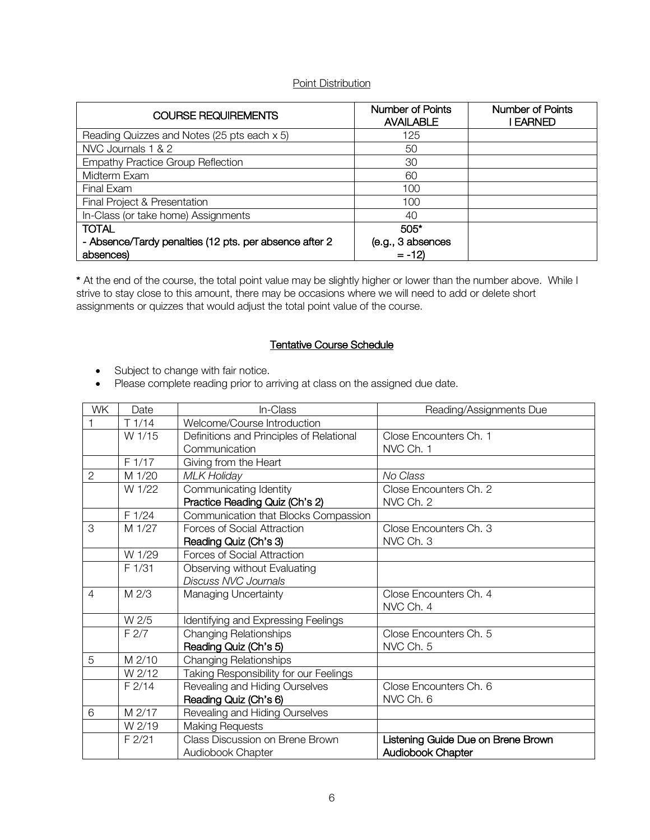### Point Distribution

| <b>COURSE REQUIREMENTS</b>                             | Number of Points<br><b>AVAILABLE</b> | Number of Points<br><b>EARNED</b> |
|--------------------------------------------------------|--------------------------------------|-----------------------------------|
| Reading Quizzes and Notes (25 pts each x 5)            | 125                                  |                                   |
| NVC Journals 1 & 2                                     | 50                                   |                                   |
| <b>Empathy Practice Group Reflection</b>               | 30                                   |                                   |
| Midterm Exam                                           | 60                                   |                                   |
| Final Exam                                             | 100                                  |                                   |
| Final Project & Presentation                           | 100                                  |                                   |
| In-Class (or take home) Assignments                    | 40                                   |                                   |
| <b>TOTAL</b>                                           | $505*$                               |                                   |
| - Absence/Tardy penalties (12 pts. per absence after 2 | (e.g., 3 absences                    |                                   |
| absences)                                              | $= -12$                              |                                   |

\* At the end of the course, the total point value may be slightly higher or lower than the number above. While I strive to stay close to this amount, there may be occasions where we will need to add or delete short assignments or quizzes that would adjust the total point value of the course.

### Tentative Course Schedule

- Subject to change with fair notice.
- Please complete reading prior to arriving at class on the assigned due date.

| <b>WK</b>      | Date     | In-Class                                 | Reading/Assignments Due            |
|----------------|----------|------------------------------------------|------------------------------------|
|                | T1/14    | Welcome/Course Introduction              |                                    |
|                | W 1/15   | Definitions and Principles of Relational | Close Encounters Ch. 1             |
|                |          | Communication                            | NVC Ch. 1                          |
|                | F 1/17   | Giving from the Heart                    |                                    |
| $\overline{2}$ | M 1/20   | <b>MLK Holiday</b>                       | No Class                           |
|                | W 1/22   | Communicating Identity                   | Close Encounters Ch. 2             |
|                |          | Practice Reading Quiz (Ch's 2)           | NVC Ch. 2                          |
|                | F 1/24   | Communication that Blocks Compassion     |                                    |
| 3              | M 1/27   | Forces of Social Attraction              | Close Encounters Ch. 3             |
|                |          | Reading Quiz (Ch's 3)                    | NVC Ch. 3                          |
|                | W 1/29   | Forces of Social Attraction              |                                    |
|                | F1/31    | Observing without Evaluating             |                                    |
|                |          | <b>Discuss NVC Journals</b>              |                                    |
| $\overline{4}$ | M 2/3    | Managing Uncertainty                     | Close Encounters Ch. 4             |
|                |          |                                          | NVC Ch. 4                          |
|                | W 2/5    | Identifying and Expressing Feelings      |                                    |
|                | F2/7     | <b>Changing Relationships</b>            | Close Encounters Ch. 5             |
|                |          | Reading Quiz (Ch's 5)                    | NVC Ch. 5                          |
| 5              | M 2/10   | <b>Changing Relationships</b>            |                                    |
|                | W 2/12   | Taking Responsibility for our Feelings   |                                    |
|                | F2/14    | Revealing and Hiding Ourselves           | Close Encounters Ch. 6             |
|                |          | Reading Quiz (Ch's 6)                    | NVC Ch. 6                          |
| 6              | M 2/17   | Revealing and Hiding Ourselves           |                                    |
|                | W 2/19   | <b>Making Requests</b>                   |                                    |
|                | $F$ 2/21 | Class Discussion on Brene Brown          | Listening Guide Due on Brene Brown |
|                |          | Audiobook Chapter                        | <b>Audiobook Chapter</b>           |